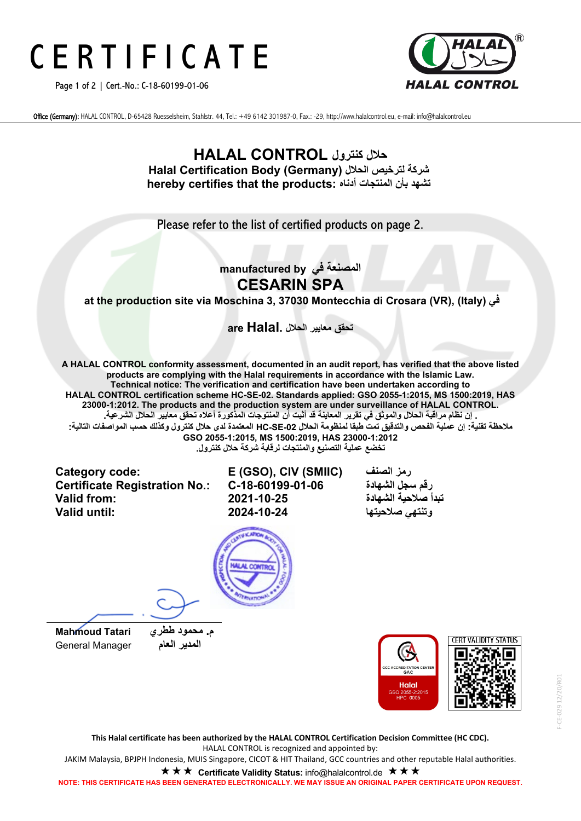# C E R T I F I C A T E

Page 1 of 2 | Cert.-No.: C-18-60199-01-06



Office (Germany): HALAL CONTROL, D-65428 Ruesselsheim, Stahlstr. 44, Tel.: +49 6142 301987-0, Fax.: -29, http://www.halalcontrol.eu, e-mail: info@halalcontrol.eu

### **حلال كنترول CONTROL HALAL Halal Certification Body (Germany) الحلال لترخیص شركة hereby certifies that the products: أدناه المنتجات بأن تشھد**

Please refer to the list of certified products on page 2.

### **المصنعة في by manufactured CESARIN SPA**

**at the production site via Moschina 3, 37030 Montecchia di Crosara (VR), (Italy) في**

**تحقق معاییر الحلال .Halal are**

**A HALAL CONTROL conformity assessment, documented in an audit report, has verified that the above listed products are complying with the Halal requirements in accordance with the Islamic Law. Technical notice: The verification and certification have been undertaken according to HALAL CONTROL certification scheme HC-SE-02. Standards applied: GSO 2055-1:2015, MS 1500:2019, HAS 23000-1:2012. The products and the production system are under surveillance of HALAL CONTROL. . إن نظام مراقبة الحلال والموثق في تقریر المعاینة قد أثبت أن المنتوجات المذكورة أعلاه تحقق معاییر الحلال الشرعیة. ملاحظة تقنیة: إن عملیة الفحص والتدقیق تمت طبقا لمنظومة الحلال -02SE-HC المعتمدة لدى حلال كنترول وكذلك حسب المواصفات التالیة:**

**GSO 2055-1:2015, MS 1500:2019, HAS 23000-1:2012 تخضع عملیة التصنیع والمنتجات لرقابة شركة حلال كنترول.** 

**Category code: E (GSO), CIV (SMIIC) الصنف رمز Certificate Registration No.: C-18-60199-01-06 تبدأ صلاحیة الشھادة 2021-10-25 :from Valid**

**وتنتھي صلاحیتھا 2024-10-24 :until Valid**





**This Halal certificate has been authorized by the HALAL CONTROL Certification Decision Committee (HC CDC).** HALAL CONTROL is recognized and appointed by:

JAKIM Malaysia, BPJPH Indonesia, MUIS Singapore, CICOT & HIT Thailand, GCC countries and other reputable Halal authorities.

**★ ★ ★ Certificate Validity Status:** info@halalcontrol.de **★ ★ ★** 

**NOTE: THIS CERTIFICATE HAS BEEN GENERATED ELECTRONICALLY. WE MAY ISSUE AN ORIGINAL PAPER CERTIFICATE UPON REQUEST.**